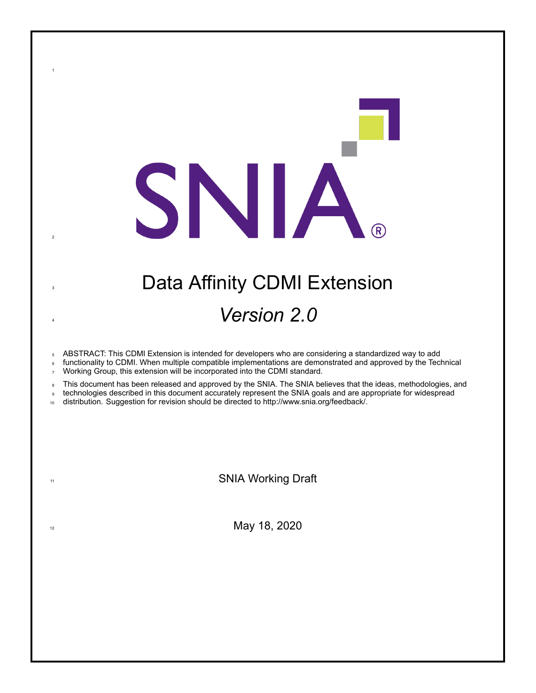# **3 Data Affinity CDMI Extension** <sup>4</sup> *Version 2.0*

SNIA.

<sup>5</sup> ABSTRACT: This CDMI Extension is intended for developers who are considering a standardized way to add

functionality to CDMI. When multiple compatible implementations are demonstrated and approved by the Technical <sup>7</sup> Working Group, this extension will be incorporated into the CDMI standard.

8 This document has been released and approved by the SNIA. The SNIA believes that the ideas, methodologies, and

<sup>9</sup> technologies described in this document accurately represent the SNIA goals and are appropriate for widespread

<sup>10</sup> distribution. Suggestion for revision should be directed to http://www.snia.org/feedback/.

1

2

11 SNIA Working Draft

 $\frac{1}{2}$  May 18, 2020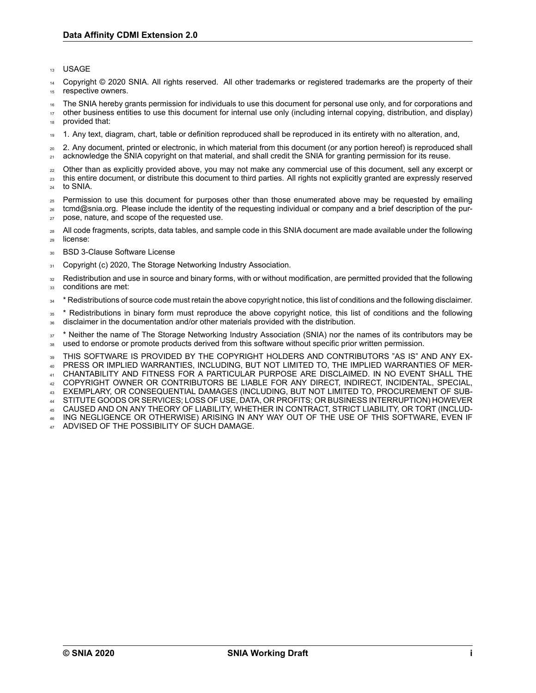#### <sup>13</sup> USAGE

Copyright © 2020 SNIA. All rights reserved. All other trademarks or registered trademarks are the property of their 15 respective owners.

<sup>16</sup> The SNIA hereby grants permission for individuals to use this document for personal use only, and for corporations and

<sup>17</sup> other business entities to use this document for internal use only (including internal copying, distribution, and display) provided that:

<sup>19</sup> 1. Any text, diagram, chart, table or definition reproduced shall be reproduced in its entirety with no alteration, and,

<sup>20</sup> 2. Any document, printed or electronic, in which material from this document (or any portion hereof) is reproduced shall <sub>21</sub> acknowledge the SNIA copyright on that material, and shall credit the SNIA for granting permission for its reuse.

- <sub>22</sub> Other than as explicitly provided above, you may not make any commercial use of this document, sell any excerpt or <sup>23</sup> this entire document, or distribute this document to third parties. All rights not explicitly granted are expressly reserved
- <sup>24</sup> to SNIA.
- <sup>25</sup> Permission to use this document for purposes other than those enumerated above may be requested by emailing <sup>26</sup> tcmd@snia.org. Please include the identity of the requesting individual or company and a brief description of the pur-
- <sup>27</sup> pose, nature, and scope of the requested use.
- 28 All code fragments, scripts, data tables, and sample code in this SNIA document are made available under the following <sup>29</sup> license:
- <sup>30</sup> BSD 3-Clause Software License
- 31 Copyright (c) 2020, The Storage Networking Industry Association.
- <sup>32</sup> Redistribution and use in source and binary forms, with or without modification, are permitted provided that the following 33 conditions are met:
- <sup>34</sup> \* Redistributions of source code must retain the above copyright notice, this list of conditions and the following disclaimer.
- <sup>35</sup> \* Redistributions in binary form must reproduce the above copyright notice, this list of conditions and the following <sup>36</sup> disclaimer in the documentation and/or other materials provided with the distribution.

<sup>37</sup> \* Neither the name of The Storage Networking Industry Association (SNIA) nor the names of its contributors may be 38 used to endorse or promote products derived from this software without specific prior written permission.

<sup>39</sup> THIS SOFTWARE IS PROVIDED BY THE COPYRIGHT HOLDERS AND CONTRIBUTORS "AS IS" AND ANY EX-<sup>40</sup> PRESS OR IMPLIED WARRANTIES, INCLUDING, BUT NOT LIMITED TO, THE IMPLIED WARRANTIES OF MER-

<sup>41</sup> CHANTABILITY AND FITNESS FOR A PARTICULAR PURPOSE ARE DISCLAIMED. IN NO EVENT SHALL THE

- <sup>42</sup> COPYRIGHT OWNER OR CONTRIBUTORS BE LIABLE FOR ANY DIRECT, INDIRECT, INCIDENTAL, SPECIAL,
- <sup>43</sup> EXEMPLARY, OR CONSEQUENTIAL DAMAGES (INCLUDING, BUT NOT LIMITED TO, PROCUREMENT OF SUB-
- <sup>44</sup> STITUTE GOODS OR SERVICES; LOSS OF USE, DATA, OR PROFITS; OR BUSINESS INTERRUPTION) HOWEVER
- <sup>45</sup> CAUSED AND ON ANY THEORY OF LIABILITY, WHETHER IN CONTRACT, STRICT LIABILITY, OR TORT (INCLUD-<sup>46</sup> ING NEGLIGENCE OR OTHERWISE) ARISING IN ANY WAY OUT OF THE USE OF THIS SOFTWARE, EVEN IF
- ADVISED OF THE POSSIBILITY OF SUCH DAMAGE.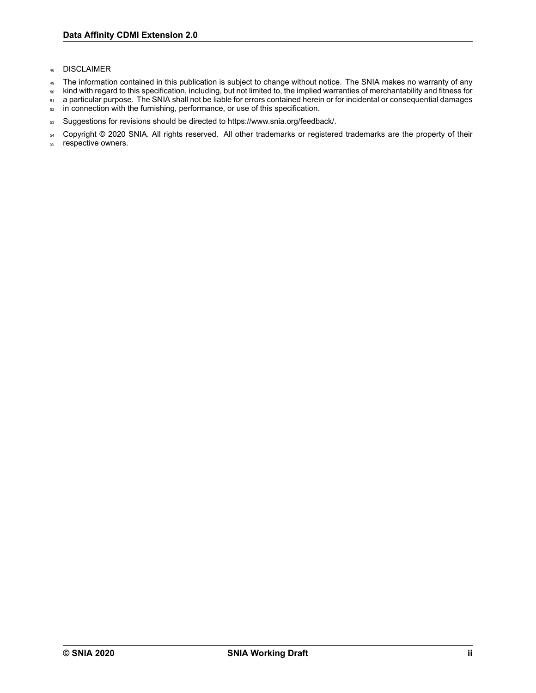### <sup>48</sup> DISCLAIMER

- 49 The information contained in this publication is subject to change without notice. The SNIA makes no warranty of any
- <sup>50</sup> kind with regard to this specification, including, but not limited to, the implied warranties of merchantability and fitness for
- 51 a particular purpose. The SNIA shall not be liable for errors contained herein or for incidental or consequential damages
- 52 in connection with the furnishing, performance, or use of this specification.
- 53 Suggestions for revisions should be directed to https://www.snia.org/feedback/.
- 54 Copyright © 2020 SNIA. All rights reserved. All other trademarks or registered trademarks are the property of their
- <sup>55</sup> respective owners.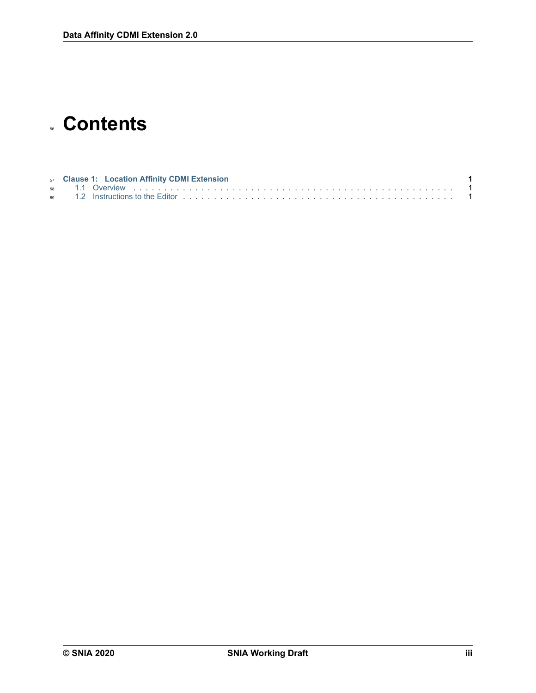# **Contents**

|  | 57 Clause 1: Location Affinity CDMI Extension |  |
|--|-----------------------------------------------|--|
|  |                                               |  |
|  |                                               |  |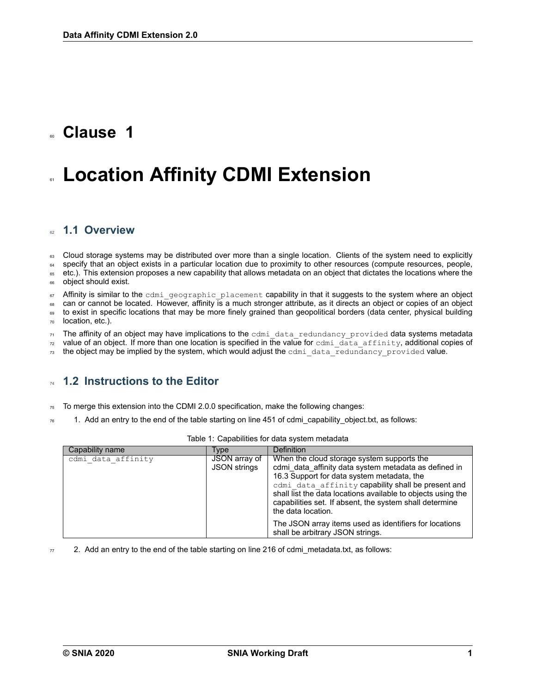### <span id="page-4-0"></span><sup>60</sup> **Clause 1**

# **Location Affinity CDMI Extension**

### <span id="page-4-1"></span><sup>62</sup> **1.1 Overview**

63 Cloud storage systems may be distributed over more than a single location. Clients of the system need to explicitly 64 specify that an object exists in a particular location due to proximity to other resources (compute resources, people, 66 etc.). This extension proposes a new capability that allows metadata on an object that dictates the locations where the

<sup>66</sup> object should exist.

 $67$  Affinity is similar to the cdmiageographic placement capability in that it suggests to the system where an object

can or cannot be located. However, affinity is a much stronger attribute, as it directs an object or copies of an object

69 to exist in specific locations that may be more finely grained than geopolitical borders (data center, physical building <sup>70</sup> location, etc.).

 $71$  The affinity of an object may have implications to the cdmi data redundancy provided data systems metadata  $\frac{1}{72}$  value of an object. If more than one location is specified in the value for cdmi data affinity, additional copies of

 $\tau_3$  the object may be implied by the system, which would adjust the cdmi-data-redundancy-provided value.

### <span id="page-4-2"></span><sup>74</sup> **1.2 Instructions to the Editor**

 $75$  To merge this extension into the CDMI 2.0.0 specification, make the following changes:

 $76$  1. Add an entry to the end of the table starting on line 451 of cdmiacapability object.txt, as follows:

| Capability name    | <b>Type</b>                          | <b>Definition</b>                                                                                                                                                                                                                                                                                                                                        |
|--------------------|--------------------------------------|----------------------------------------------------------------------------------------------------------------------------------------------------------------------------------------------------------------------------------------------------------------------------------------------------------------------------------------------------------|
| cdmi data affinity | JSON array of<br><b>JSON strings</b> | When the cloud storage system supports the<br>cdmi data affinity data system metadata as defined in<br>16.3 Support for data system metadata, the<br>cdmi data affinity capability shall be present and<br>shall list the data locations available to objects using the<br>capabilities set. If absent, the system shall determine<br>the data location. |
|                    |                                      | The JSON array items used as identifiers for locations<br>shall be arbitrary JSON strings.                                                                                                                                                                                                                                                               |

 $77$  2. Add an entry to the end of the table starting on line 216 of cdmi\_metadata.txt, as follows: